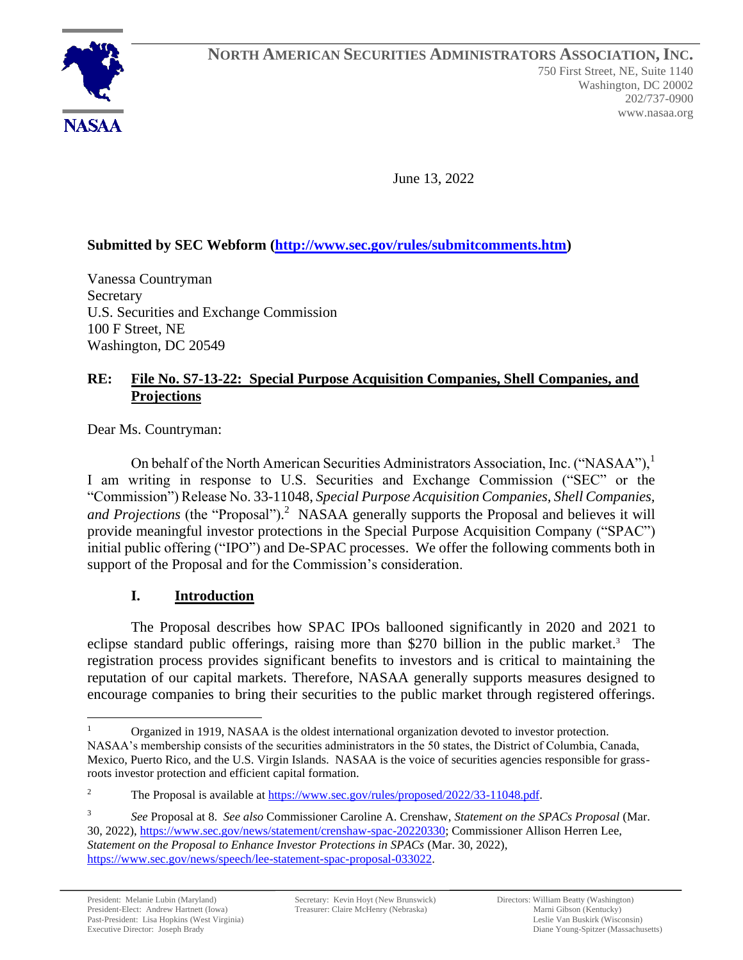

June 13, 2022

# **Submitted by SEC Webform [\(http://www.sec.gov/rules/submitcomments.htm\)](http://www.sec.gov/rules/submitcomments.htm)**

Vanessa Countryman **Secretary** U.S. Securities and Exchange Commission 100 F Street, NE Washington, DC 20549

### **RE: File No. S7-13-22: Special Purpose Acquisition Companies, Shell Companies, and Projections**

Dear Ms. Countryman:

On behalf of the North American Securities Administrators Association, Inc. ("NASAA"), I am writing in response to U.S. Securities and Exchange Commission ("SEC" or the "Commission") Release No. 33-11048, *Special Purpose Acquisition Companies, Shell Companies, and Projections* (the "Proposal"). <sup>2</sup> NASAA generally supports the Proposal and believes it will provide meaningful investor protections in the Special Purpose Acquisition Company ("SPAC") initial public offering ("IPO") and De-SPAC processes. We offer the following comments both in support of the Proposal and for the Commission's consideration.

### **I. Introduction**

The Proposal describes how SPAC IPOs ballooned significantly in 2020 and 2021 to eclipse standard public offerings, raising more than \$270 billion in the public market.<sup>3</sup> The registration process provides significant benefits to investors and is critical to maintaining the reputation of our capital markets. Therefore, NASAA generally supports measures designed to encourage companies to bring their securities to the public market through registered offerings.

Organized in 1919, NASAA is the oldest international organization devoted to investor protection.

NASAA's membership consists of the securities administrators in the 50 states, the District of Columbia, Canada, Mexico, Puerto Rico, and the U.S. Virgin Islands. NASAA is the voice of securities agencies responsible for grassroots investor protection and efficient capital formation.

<sup>&</sup>lt;sup>2</sup> The Proposal is available at [https://www.sec.gov/rules/proposed/2022/33-11048.pdf.](https://www.sec.gov/rules/proposed/2022/33-11048.pdf)

<sup>3</sup> *See* Proposal at 8. *See also* Commissioner Caroline A. Crenshaw, *Statement on the SPACs Proposal* (Mar. 30, 2022), [https://www.sec.gov/news/statement/crenshaw-spac-20220330;](https://www.sec.gov/news/statement/crenshaw-spac-20220330) Commissioner Allison Herren Lee, *Statement on the Proposal to Enhance Investor Protections in SPACs* (Mar. 30, 2022), [https://www.sec.gov/news/speech/lee-statement-spac-proposal-033022.](https://www.sec.gov/news/speech/lee-statement-spac-proposal-033022)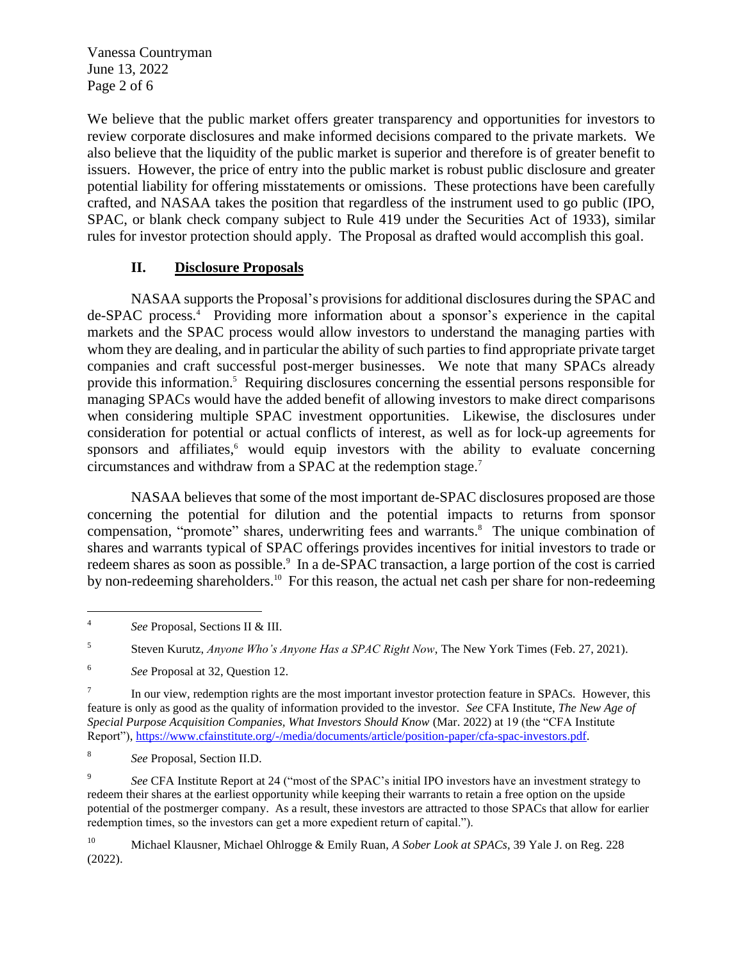Vanessa Countryman June 13, 2022 Page 2 of 6

We believe that the public market offers greater transparency and opportunities for investors to review corporate disclosures and make informed decisions compared to the private markets. We also believe that the liquidity of the public market is superior and therefore is of greater benefit to issuers. However, the price of entry into the public market is robust public disclosure and greater potential liability for offering misstatements or omissions. These protections have been carefully crafted, and NASAA takes the position that regardless of the instrument used to go public (IPO, SPAC, or blank check company subject to Rule 419 under the Securities Act of 1933), similar rules for investor protection should apply. The Proposal as drafted would accomplish this goal.

### **II. Disclosure Proposals**

NASAA supports the Proposal's provisions for additional disclosures during the SPAC and de-SPAC process.<sup>4</sup> Providing more information about a sponsor's experience in the capital markets and the SPAC process would allow investors to understand the managing parties with whom they are dealing, and in particular the ability of such parties to find appropriate private target companies and craft successful post-merger businesses. We note that many SPACs already provide this information. <sup>5</sup> Requiring disclosures concerning the essential persons responsible for managing SPACs would have the added benefit of allowing investors to make direct comparisons when considering multiple SPAC investment opportunities. Likewise, the disclosures under consideration for potential or actual conflicts of interest, as well as for lock-up agreements for sponsors and affiliates, <sup>6</sup> would equip investors with the ability to evaluate concerning circumstances and withdraw from a SPAC at the redemption stage. 7

NASAA believes that some of the most important de-SPAC disclosures proposed are those concerning the potential for dilution and the potential impacts to returns from sponsor compensation, "promote" shares, underwriting fees and warrants. <sup>8</sup> The unique combination of shares and warrants typical of SPAC offerings provides incentives for initial investors to trade or redeem shares as soon as possible.<sup>9</sup> In a de-SPAC transaction, a large portion of the cost is carried by non-redeeming shareholders.<sup>10</sup> For this reason, the actual net cash per share for non-redeeming

8 *See* Proposal, Section II.D.

9 *See* CFA Institute Report at 24 ("most of the SPAC's initial IPO investors have an investment strategy to redeem their shares at the earliest opportunity while keeping their warrants to retain a free option on the upside potential of the postmerger company. As a result, these investors are attracted to those SPACs that allow for earlier redemption times, so the investors can get a more expedient return of capital.").

<sup>10</sup> Michael Klausner, Michael Ohlrogge & Emily Ruan, *A Sober Look at SPACs*, 39 Yale J. on Reg. 228 (2022).

<sup>4</sup> *See* Proposal, Sections II & III.

<sup>5</sup> Steven Kurutz, *Anyone Who's Anyone Has a SPAC Right Now*, The New York Times (Feb. 27, 2021).

<sup>6</sup> *See* Proposal at 32, Question 12.

<sup>7</sup> In our view, redemption rights are the most important investor protection feature in SPACs. However, this feature is only as good as the quality of information provided to the investor. *See* CFA Institute, *The New Age of Special Purpose Acquisition Companies, What Investors Should Know* (Mar. 2022) at 19 (the "CFA Institute Report"), [https://www.cfainstitute.org/-/media/documents/article/position-paper/cfa-spac-investors.pdf.](https://www.cfainstitute.org/-/media/documents/article/position-paper/cfa-spac-investors.pdf)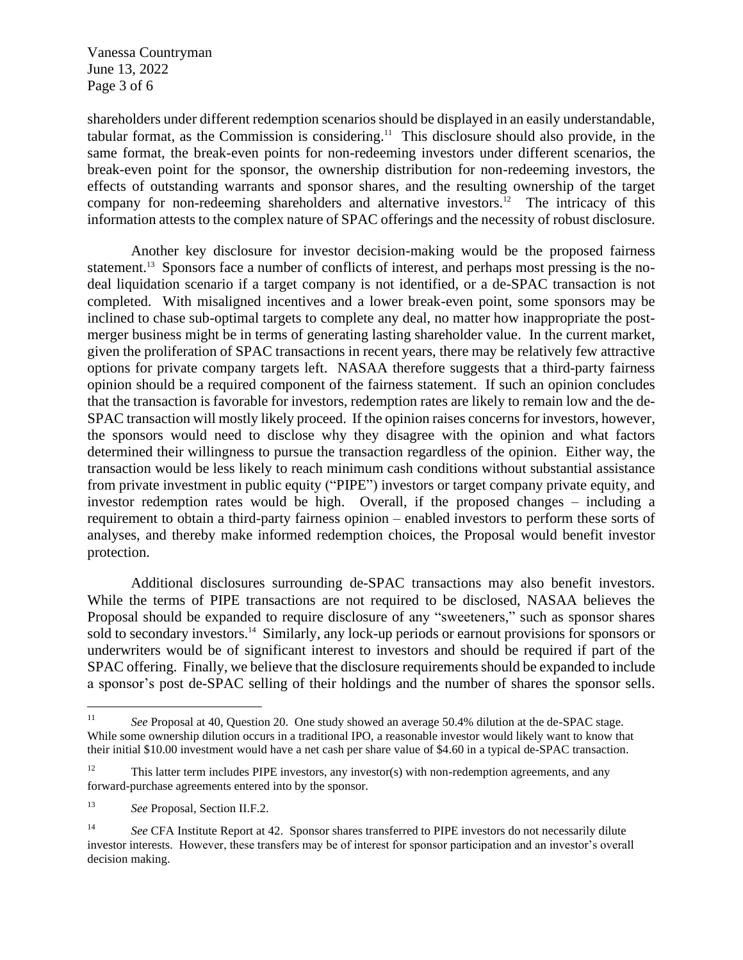Vanessa Countryman June 13, 2022 Page 3 of 6

shareholders under different redemption scenarios should be displayed in an easily understandable, tabular format, as the Commission is considering. <sup>11</sup> This disclosure should also provide, in the same format, the break-even points for non-redeeming investors under different scenarios, the break-even point for the sponsor, the ownership distribution for non-redeeming investors, the effects of outstanding warrants and sponsor shares, and the resulting ownership of the target company for non-redeeming shareholders and alternative investors. <sup>12</sup> The intricacy of this information attests to the complex nature of SPAC offerings and the necessity of robust disclosure.

Another key disclosure for investor decision-making would be the proposed fairness statement.<sup>13</sup> Sponsors face a number of conflicts of interest, and perhaps most pressing is the nodeal liquidation scenario if a target company is not identified, or a de-SPAC transaction is not completed. With misaligned incentives and a lower break-even point, some sponsors may be inclined to chase sub-optimal targets to complete any deal, no matter how inappropriate the postmerger business might be in terms of generating lasting shareholder value. In the current market, given the proliferation of SPAC transactions in recent years, there may be relatively few attractive options for private company targets left. NASAA therefore suggests that a third-party fairness opinion should be a required component of the fairness statement. If such an opinion concludes that the transaction is favorable for investors, redemption rates are likely to remain low and the de-SPAC transaction will mostly likely proceed. If the opinion raises concerns for investors, however, the sponsors would need to disclose why they disagree with the opinion and what factors determined their willingness to pursue the transaction regardless of the opinion. Either way, the transaction would be less likely to reach minimum cash conditions without substantial assistance from private investment in public equity ("PIPE") investors or target company private equity, and investor redemption rates would be high. Overall, if the proposed changes – including a requirement to obtain a third-party fairness opinion – enabled investors to perform these sorts of analyses, and thereby make informed redemption choices, the Proposal would benefit investor protection.

Additional disclosures surrounding de-SPAC transactions may also benefit investors. While the terms of PIPE transactions are not required to be disclosed, NASAA believes the Proposal should be expanded to require disclosure of any "sweeteners," such as sponsor shares sold to secondary investors.<sup>14</sup> Similarly, any lock-up periods or earnout provisions for sponsors or underwriters would be of significant interest to investors and should be required if part of the SPAC offering. Finally, we believe that the disclosure requirements should be expanded to include a sponsor's post de-SPAC selling of their holdings and the number of shares the sponsor sells.

<sup>11</sup> *See* Proposal at 40, Question 20. One study showed an average 50.4% dilution at the de-SPAC stage. While some ownership dilution occurs in a traditional IPO, a reasonable investor would likely want to know that their initial \$10.00 investment would have a net cash per share value of \$4.60 in a typical de-SPAC transaction.

<sup>&</sup>lt;sup>12</sup> This latter term includes PIPE investors, any investor(s) with non-redemption agreements, and any forward-purchase agreements entered into by the sponsor.

<sup>13</sup> *See* Proposal, Section II.F.2.

<sup>&</sup>lt;sup>14</sup> *See* CFA Institute Report at 42. Sponsor shares transferred to PIPE investors do not necessarily dilute investor interests. However, these transfers may be of interest for sponsor participation and an investor's overall decision making.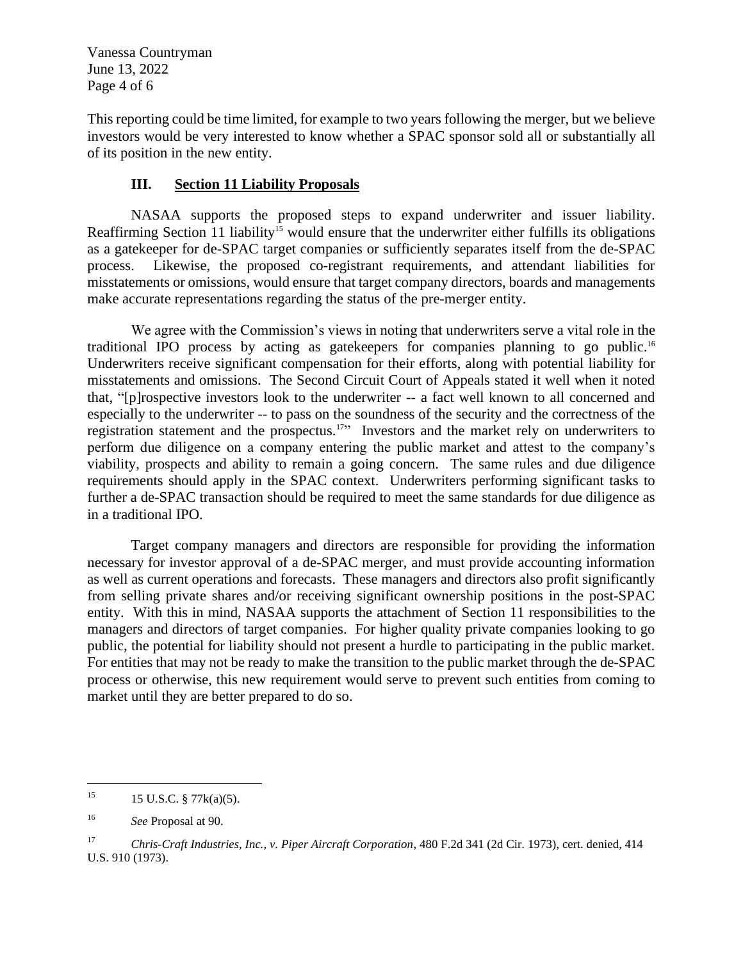Vanessa Countryman June 13, 2022 Page 4 of 6

This reporting could be time limited, for example to two years following the merger, but we believe investors would be very interested to know whether a SPAC sponsor sold all or substantially all of its position in the new entity.

## **III. Section 11 Liability Proposals**

NASAA supports the proposed steps to expand underwriter and issuer liability. Reaffirming Section 11 liability<sup>15</sup> would ensure that the underwriter either fulfills its obligations as a gatekeeper for de-SPAC target companies or sufficiently separates itself from the de-SPAC process. Likewise, the proposed co-registrant requirements, and attendant liabilities for misstatements or omissions, would ensure that target company directors, boards and managements make accurate representations regarding the status of the pre-merger entity.

We agree with the Commission's views in noting that underwriters serve a vital role in the traditional IPO process by acting as gatekeepers for companies planning to go public.<sup>16</sup> Underwriters receive significant compensation for their efforts, along with potential liability for misstatements and omissions. The Second Circuit Court of Appeals stated it well when it noted that, "[p]rospective investors look to the underwriter -- a fact well known to all concerned and especially to the underwriter -- to pass on the soundness of the security and the correctness of the registration statement and the prospectus.<sup>17</sup> Investors and the market rely on underwriters to perform due diligence on a company entering the public market and attest to the company's viability, prospects and ability to remain a going concern. The same rules and due diligence requirements should apply in the SPAC context. Underwriters performing significant tasks to further a de-SPAC transaction should be required to meet the same standards for due diligence as in a traditional IPO.

Target company managers and directors are responsible for providing the information necessary for investor approval of a de-SPAC merger, and must provide accounting information as well as current operations and forecasts. These managers and directors also profit significantly from selling private shares and/or receiving significant ownership positions in the post-SPAC entity. With this in mind, NASAA supports the attachment of Section 11 responsibilities to the managers and directors of target companies. For higher quality private companies looking to go public, the potential for liability should not present a hurdle to participating in the public market. For entities that may not be ready to make the transition to the public market through the de-SPAC process or otherwise, this new requirement would serve to prevent such entities from coming to market until they are better prepared to do so.

<sup>&</sup>lt;sup>15</sup> 15 U.S.C. § 77 $k(a)(5)$ .

<sup>16</sup> *See* Proposal at 90.

<sup>17</sup> *Chris-Craft Industries, Inc., v. Piper Aircraft Corporation*, 480 F.2d 341 (2d Cir. 1973), cert. denied, 414 U.S. 910 (1973).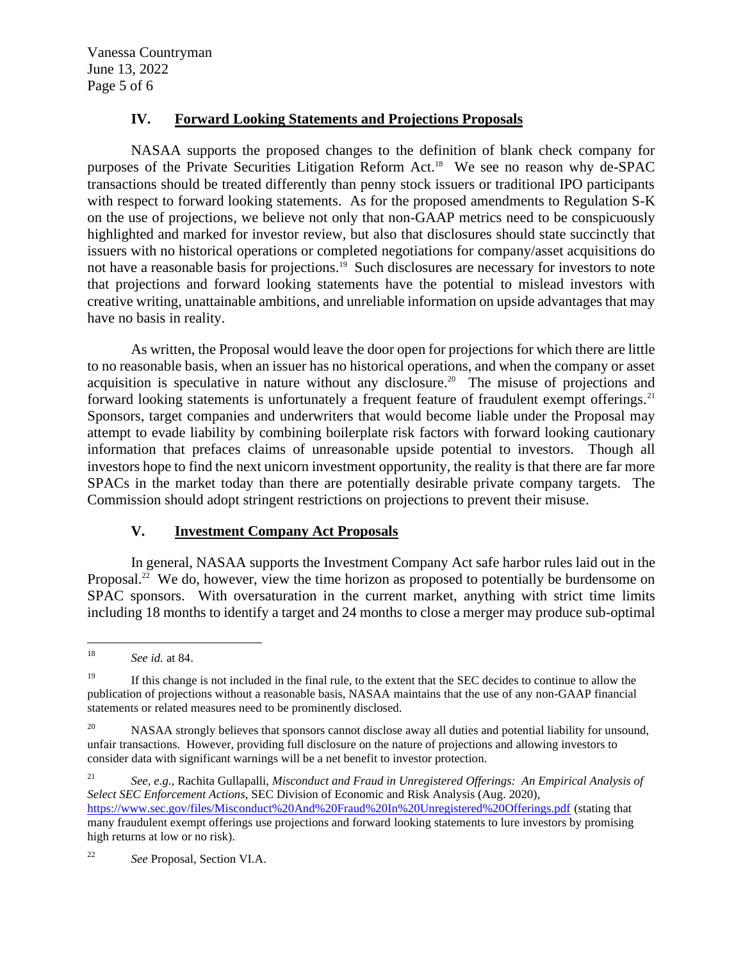Vanessa Countryman June 13, 2022 Page 5 of 6

### **IV. Forward Looking Statements and Projections Proposals**

NASAA supports the proposed changes to the definition of blank check company for purposes of the Private Securities Litigation Reform Act. <sup>18</sup> We see no reason why de-SPAC transactions should be treated differently than penny stock issuers or traditional IPO participants with respect to forward looking statements. As for the proposed amendments to Regulation S-K on the use of projections, we believe not only that non-GAAP metrics need to be conspicuously highlighted and marked for investor review, but also that disclosures should state succinctly that issuers with no historical operations or completed negotiations for company/asset acquisitions do not have a reasonable basis for projections. 19 Such disclosures are necessary for investors to note that projections and forward looking statements have the potential to mislead investors with creative writing, unattainable ambitions, and unreliable information on upside advantages that may have no basis in reality.

As written, the Proposal would leave the door open for projections for which there are little to no reasonable basis, when an issuer has no historical operations, and when the company or asset acquisition is speculative in nature without any disclosure. <sup>20</sup> The misuse of projections and forward looking statements is unfortunately a frequent feature of fraudulent exempt offerings.<sup>21</sup> Sponsors, target companies and underwriters that would become liable under the Proposal may attempt to evade liability by combining boilerplate risk factors with forward looking cautionary information that prefaces claims of unreasonable upside potential to investors. Though all investors hope to find the next unicorn investment opportunity, the reality is that there are far more SPACs in the market today than there are potentially desirable private company targets. The Commission should adopt stringent restrictions on projections to prevent their misuse.

### **V. Investment Company Act Proposals**

In general, NASAA supports the Investment Company Act safe harbor rules laid out in the Proposal.<sup>22</sup> We do, however, view the time horizon as proposed to potentially be burdensome on SPAC sponsors. With oversaturation in the current market, anything with strict time limits including 18 months to identify a target and 24 months to close a merger may produce sub-optimal

<sup>21</sup> *See, e.g.,* Rachita Gullapalli, *Misconduct and Fraud in Unregistered Offerings: An Empirical Analysis of Select SEC Enforcement Actions*, SEC Division of Economic and Risk Analysis (Aug. 2020), <https://www.sec.gov/files/Misconduct%20And%20Fraud%20In%20Unregistered%20Offerings.pdf> (stating that many fraudulent exempt offerings use projections and forward looking statements to lure investors by promising high returns at low or no risk).

<sup>22</sup> *See* Proposal, Section VI.A.

<sup>18</sup> *See id.* at 84.

<sup>&</sup>lt;sup>19</sup> If this change is not included in the final rule, to the extent that the SEC decides to continue to allow the publication of projections without a reasonable basis, NASAA maintains that the use of any non-GAAP financial statements or related measures need to be prominently disclosed.

<sup>&</sup>lt;sup>20</sup> NASAA strongly believes that sponsors cannot disclose away all duties and potential liability for unsound, unfair transactions. However, providing full disclosure on the nature of projections and allowing investors to consider data with significant warnings will be a net benefit to investor protection.